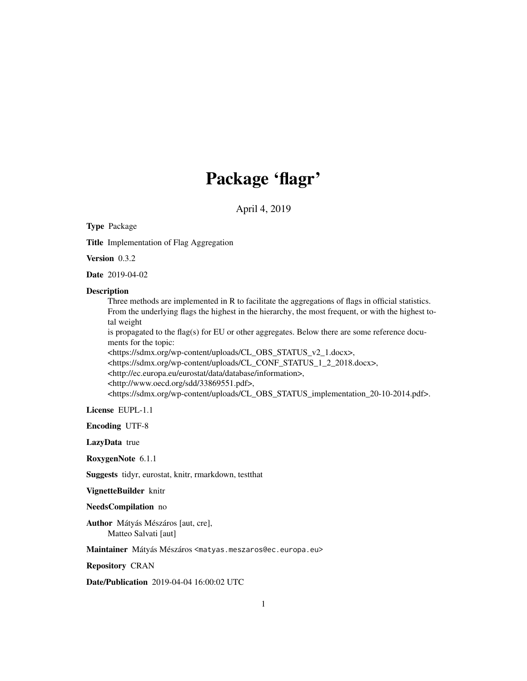## Package 'flagr'

April 4, 2019

Type Package

Title Implementation of Flag Aggregation

Version 0.3.2

Date 2019-04-02

#### Description

Three methods are implemented in R to facilitate the aggregations of flags in official statistics. From the underlying flags the highest in the hierarchy, the most frequent, or with the highest total weight

is propagated to the flag(s) for EU or other aggregates. Below there are some reference documents for the topic:

<https://sdmx.org/wp-content/uploads/CL\_OBS\_STATUS\_v2\_1.docx>,

<https://sdmx.org/wp-content/uploads/CL\_CONF\_STATUS\_1\_2\_2018.docx>,

<http://ec.europa.eu/eurostat/data/database/information>,

<http://www.oecd.org/sdd/33869551.pdf>,

<https://sdmx.org/wp-content/uploads/CL\_OBS\_STATUS\_implementation\_20-10-2014.pdf>.

License EUPL-1.1

Encoding UTF-8

LazyData true

RoxygenNote 6.1.1

Suggests tidyr, eurostat, knitr, rmarkdown, testthat

VignetteBuilder knitr

NeedsCompilation no

Author Mátyás Mészáros [aut, cre], Matteo Salvati [aut]

Maintainer Mátyás Mészáros <matyas.meszaros@ec.europa.eu>

Repository CRAN

Date/Publication 2019-04-04 16:00:02 UTC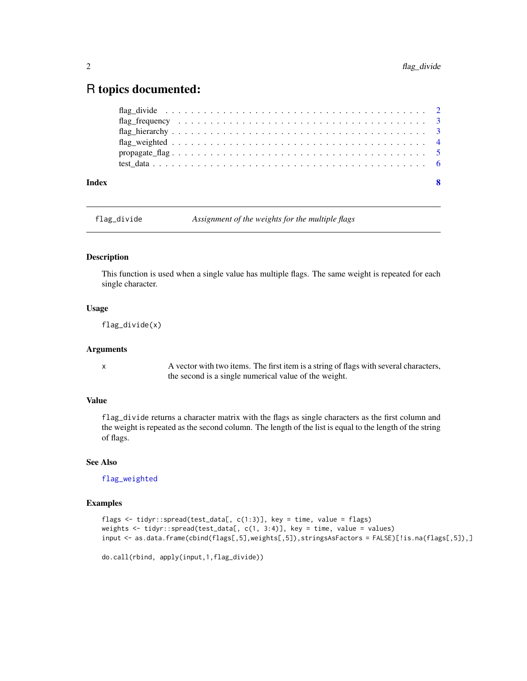### <span id="page-1-0"></span>R topics documented:

| Index | -8 |
|-------|----|
|       |    |
|       |    |
|       |    |
|       |    |
|       |    |
|       |    |

<span id="page-1-1"></span>flag\_divide *Assignment of the weights for the multiple flags*

#### Description

This function is used when a single value has multiple flags. The same weight is repeated for each single character.

#### Usage

flag\_divide(x)

#### Arguments

x A vector with two items. The first item is a string of flags with several characters, the second is a single numerical value of the weight.

#### Value

flag\_divide returns a character matrix with the flags as single characters as the first column and the weight is repeated as the second column. The length of the list is equal to the length of the string of flags.

#### See Also

[flag\\_weighted](#page-3-1)

#### Examples

```
flags <- tidyr::spread(test_data[, c(1:3)], key = time, value = flags)
weights <- tidyr::spread(test_data[, c(1, 3:4)], key = time, value = values)
input <- as.data.frame(cbind(flags[,5],weights[,5]),stringsAsFactors = FALSE)[!is.na(flags[,5]),]
```

```
do.call(rbind, apply(input,1,flag_divide))
```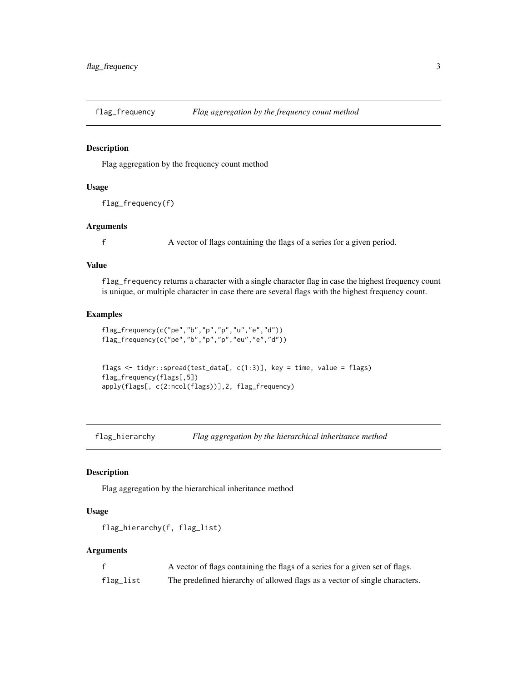<span id="page-2-2"></span><span id="page-2-0"></span>

#### Description

Flag aggregation by the frequency count method

#### Usage

```
flag_frequency(f)
```
#### Arguments

f A vector of flags containing the flags of a series for a given period.

#### Value

flag\_frequency returns a character with a single character flag in case the highest frequency count is unique, or multiple character in case there are several flags with the highest frequency count.

#### Examples

```
flag_frequency(c("pe","b","p","p","u","e","d"))
flag_frequency(c("pe","b","p","p","eu","e","d"))
```

```
flags <- tidyr::spread(test_data[, c(1:3)], key = time, value = flags)
flag_frequency(flags[,5])
apply(flags[, c(2:ncol(flags))],2, flag_frequency)
```
<span id="page-2-1"></span>flag\_hierarchy *Flag aggregation by the hierarchical inheritance method*

#### Description

Flag aggregation by the hierarchical inheritance method

#### Usage

```
flag_hierarchy(f, flag_list)
```
#### Arguments

|           | A vector of flags containing the flags of a series for a given set of flags. |
|-----------|------------------------------------------------------------------------------|
| flag_list | The predefined hierarchy of allowed flags as a vector of single characters.  |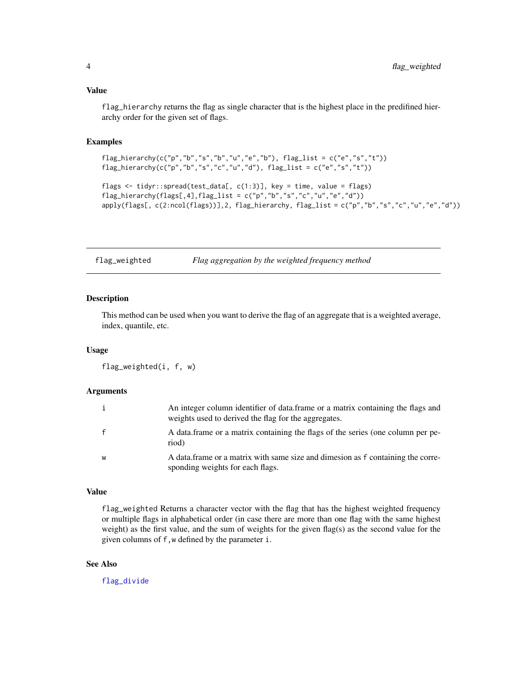#### <span id="page-3-0"></span>Value

flag\_hierarchy returns the flag as single character that is the highest place in the predifined hierarchy order for the given set of flags.

#### Examples

```
flag_hierarchy(c("p","b","s","b","u","e","b"), flag_list = c("e","s","t"))
flag_hierarchy(c("p","b","s","c","u","d"), flag_list = c("e","s","t"))
flags <- tidyr::spread(test_data[, c(1:3)], key = time, value = flags)
flag_hierarchy(flags[,4],flag_list = c("p","b","s","c","u","e","d"))
apply(flags[, c(2:ncol(flags))],2, flag_hierarchy, flag_list = c("p","b","s","c","u","e","d"))
```
<span id="page-3-1"></span>flag\_weighted *Flag aggregation by the weighted frequency method*

#### Description

This method can be used when you want to derive the flag of an aggregate that is a weighted average, index, quantile, etc.

#### Usage

```
flag_weighted(i, f, w)
```
#### Arguments

| i            | An integer column identifier of data frame or a matrix containing the flags and<br>weights used to derived the flag for the aggregates. |
|--------------|-----------------------------------------------------------------------------------------------------------------------------------------|
| $\mathbf{f}$ | A data frame or a matrix containing the flags of the series (one column per pe-<br>riod)                                                |
| W            | A data frame or a matrix with same size and dimesion as f containing the corre-<br>sponding weights for each flags.                     |

#### Value

flag\_weighted Returns a character vector with the flag that has the highest weighted frequency or multiple flags in alphabetical order (in case there are more than one flag with the same highest weight) as the first value, and the sum of weights for the given flag(s) as the second value for the given columns of f,w defined by the parameter i.

#### See Also

[flag\\_divide](#page-1-1)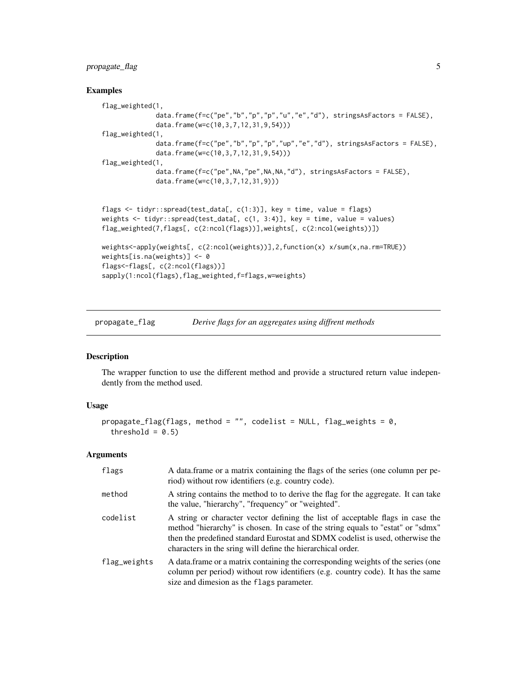#### <span id="page-4-0"></span>propagate\_flag 5

#### Examples

```
flag_weighted(1,
              data.frame(f=c("pe","b","p","p","u","e","d"), stringsAsFactors = FALSE),
              data.frame(w=c(10,3,7,12,31,9,54)))
flag_weighted(1,
              data.frame(f=c("pe","b","p","p","up","e","d"), stringsAsFactors = FALSE),
              data.frame(w=c(10,3,7,12,31,9,54)))
flag_weighted(1,
              data.frame(f=c("pe",NA,"pe",NA,NA,"d"), stringsAsFactors = FALSE),
              data.frame(w=c(10,3,7,12,31,9)))
flags <- tidyr::spread(test_data[, c(1:3)], key = time, value = flags)
weights <- tidyr::spread(test_data[, c(1, 3:4)], key = time, value = values)
flag_weighted(7,flags[, c(2:ncol(flags))],weights[, c(2:ncol(weights))])
weights<-apply(weights[, c(2:ncol(weights))],2,function(x) x/sum(x,na.rm=TRUE))
weights[is.na(weights)] <- 0
flags<-flags[, c(2:ncol(flags))]
```

```
sapply(1:ncol(flags),flag_weighted,f=flags,w=weights)
```
propagate\_flag *Derive flags for an aggregates using diffrent methods*

#### Description

The wrapper function to use the different method and provide a structured return value independently from the method used.

#### Usage

```
propagate_flag(flags, method = "", codelist = NULL, flag_weights = 0,
  threshold = 0.5)
```
#### Arguments

| flags        | A data frame or a matrix containing the flags of the series (one column per pe-<br>riod) without row identifiers (e.g. country code).                                                                                                                                                                              |
|--------------|--------------------------------------------------------------------------------------------------------------------------------------------------------------------------------------------------------------------------------------------------------------------------------------------------------------------|
| method       | A string contains the method to to derive the flag for the aggregate. It can take<br>the value, "hierarchy", "frequency" or "weighted".                                                                                                                                                                            |
| codelist     | A string or character vector defining the list of acceptable flags in case the<br>method "hierarchy" is chosen. In case of the string equals to "estat" or "sdmx"<br>then the predefined standard Eurostat and SDMX codelist is used, otherwise the<br>characters in the sring will define the hierarchical order. |
| flag_weights | A data frame or a matrix containing the corresponding weights of the series (one<br>column per period) without row identifiers (e.g. country code). It has the same<br>size and dimesion as the flags parameter.                                                                                                   |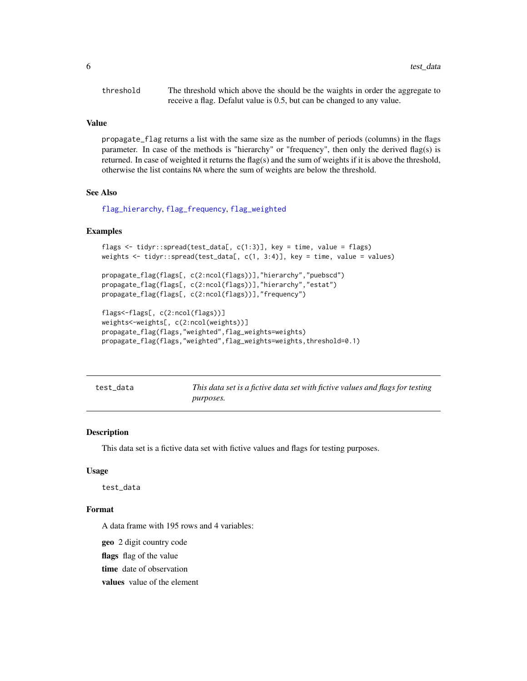<span id="page-5-0"></span>

| threshold | The threshold which above the should be the waights in order the aggregate to |
|-----------|-------------------------------------------------------------------------------|
|           | receive a flag. Defalut value is 0.5, but can be changed to any value.        |

#### Value

propagate\_flag returns a list with the same size as the number of periods (columns) in the flags parameter. In case of the methods is "hierarchy" or "frequency", then only the derived flag(s) is returned. In case of weighted it returns the flag(s) and the sum of weights if it is above the threshold, otherwise the list contains NA where the sum of weights are below the threshold.

#### See Also

[flag\\_hierarchy](#page-2-1), [flag\\_frequency](#page-2-2), [flag\\_weighted](#page-3-1)

#### Examples

```
flags \le tidyr::spread(test_data[, c(1:3)], key = time, value = flags)
weights <- tidyr::spread(test_data[, c(1, 3:4)], key = time, value = values)
propagate_flag(flags[, c(2:ncol(flags))],"hierarchy","puebscd")
propagate_flag(flags[, c(2:ncol(flags))],"hierarchy","estat")
propagate_flag(flags[, c(2:ncol(flags))],"frequency")
flags<-flags[, c(2:ncol(flags))]
weights<-weights[, c(2:ncol(weights))]
propagate_flag(flags,"weighted",flag_weights=weights)
```

```
propagate_flag(flags,"weighted",flag_weights=weights,threshold=0.1)
```

| test_data |  |
|-----------|--|
|-----------|--|

This data set is a fictive data set with fictive values and flags for testing *purposes.*

#### Description

This data set is a fictive data set with fictive values and flags for testing purposes.

#### Usage

test\_data

#### Format

A data frame with 195 rows and 4 variables:

geo 2 digit country code

flags flag of the value

time date of observation

values value of the element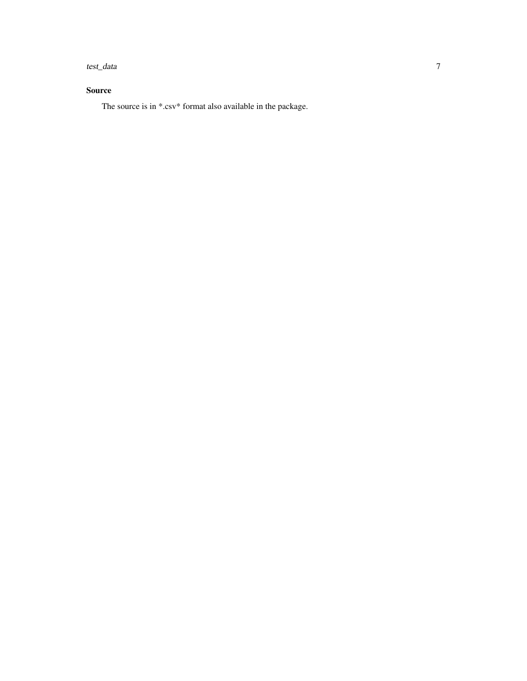test\_data 7

#### Source

The source is in \*.csv\* format also available in the package.